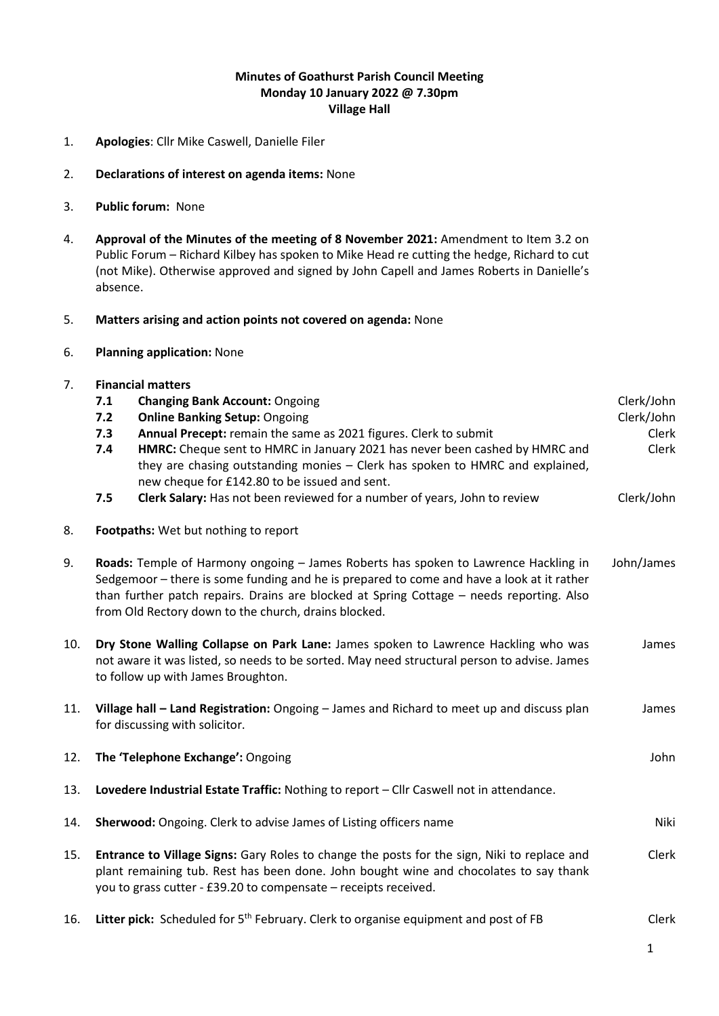# **Minutes of Goathurst Parish Council Meeting Monday 10 January 2022 @ 7.30pm Village Hall**

1. **Apologies**: Cllr Mike Caswell, Danielle Filer

## 2. **Declarations of interest on agenda items:** None

# 3. **Public forum:** None

4. **Approval of the Minutes of the meeting of 8 November 2021:** Amendment to Item 3.2 on Public Forum – Richard Kilbey has spoken to Mike Head re cutting the hedge, Richard to cut (not Mike). Otherwise approved and signed by John Capell and James Roberts in Danielle's absence.

## 5. **Matters arising and action points not covered on agenda:** None

6. **Planning application:** None

# 7. **Financial matters**

|     | 7.1                                                                                                                                                                                                                                                                                                                                  | <b>Changing Bank Account: Ongoing</b>                                                           | Clerk/John |
|-----|--------------------------------------------------------------------------------------------------------------------------------------------------------------------------------------------------------------------------------------------------------------------------------------------------------------------------------------|-------------------------------------------------------------------------------------------------|------------|
|     | 7.2                                                                                                                                                                                                                                                                                                                                  | <b>Online Banking Setup: Ongoing</b>                                                            | Clerk/John |
|     | 7.3                                                                                                                                                                                                                                                                                                                                  | Annual Precept: remain the same as 2021 figures. Clerk to submit                                | Clerk      |
|     | 7.4                                                                                                                                                                                                                                                                                                                                  | HMRC: Cheque sent to HMRC in January 2021 has never been cashed by HMRC and                     | Clerk      |
|     |                                                                                                                                                                                                                                                                                                                                      | they are chasing outstanding monies - Clerk has spoken to HMRC and explained,                   |            |
|     |                                                                                                                                                                                                                                                                                                                                      | new cheque for £142.80 to be issued and sent.                                                   |            |
|     | 7.5                                                                                                                                                                                                                                                                                                                                  | Clerk Salary: Has not been reviewed for a number of years, John to review                       | Clerk/John |
| 8.  | Footpaths: Wet but nothing to report                                                                                                                                                                                                                                                                                                 |                                                                                                 |            |
| 9.  | Roads: Temple of Harmony ongoing - James Roberts has spoken to Lawrence Hackling in<br>Sedgemoor - there is some funding and he is prepared to come and have a look at it rather<br>than further patch repairs. Drains are blocked at Spring Cottage - needs reporting. Also<br>from Old Rectory down to the church, drains blocked. |                                                                                                 | John/James |
| 10. | Dry Stone Walling Collapse on Park Lane: James spoken to Lawrence Hackling who was<br>not aware it was listed, so needs to be sorted. May need structural person to advise. James<br>to follow up with James Broughton.                                                                                                              |                                                                                                 | James      |
| 11. | Village hall - Land Registration: Ongoing - James and Richard to meet up and discuss plan<br>for discussing with solicitor.                                                                                                                                                                                                          |                                                                                                 | James      |
| 12. | The 'Telephone Exchange': Ongoing                                                                                                                                                                                                                                                                                                    |                                                                                                 | John       |
| 13. | Lovedere Industrial Estate Traffic: Nothing to report - Cllr Caswell not in attendance.                                                                                                                                                                                                                                              |                                                                                                 |            |
| 14. | Sherwood: Ongoing. Clerk to advise James of Listing officers name                                                                                                                                                                                                                                                                    |                                                                                                 | Niki       |
| 15. | Entrance to Village Signs: Gary Roles to change the posts for the sign, Niki to replace and<br>plant remaining tub. Rest has been done. John bought wine and chocolates to say thank<br>you to grass cutter - £39.20 to compensate - receipts received.                                                                              |                                                                                                 | Clerk      |
| 16. |                                                                                                                                                                                                                                                                                                                                      | Litter pick: Scheduled for 5 <sup>th</sup> February. Clerk to organise equipment and post of FB | Clerk      |